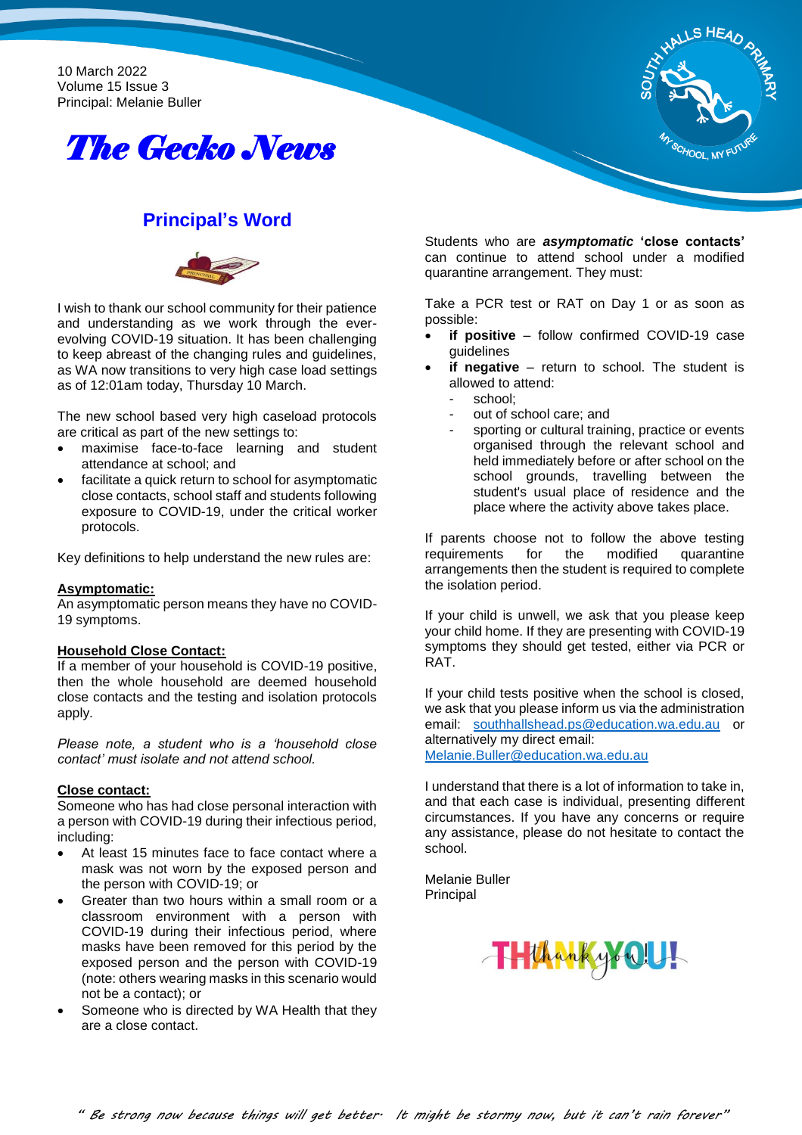10 March 2022 Volume 15 Issue 3 Principal: Melanie Buller





### **Principal's Word**



I wish to thank our school community for their patience and understanding as we work through the everevolving COVID-19 situation. It has been challenging to keep abreast of the changing rules and guidelines, as WA now transitions to very high case load settings as of 12:01am today, Thursday 10 March.

The new school based very high caseload protocols are critical as part of the new settings to:

- maximise face-to-face learning and student attendance at school; and
- facilitate a quick return to school for asymptomatic close contacts, school staff and students following exposure to COVID-19, under the critical worker protocols.

Key definitions to help understand the new rules are:

#### **Asymptomatic:**

An asymptomatic person means they have no COVID-19 symptoms.

#### **Household Close Contact:**

If a member of your household is COVID-19 positive, then the whole household are deemed household close contacts and the testing and isolation protocols apply.

*Please note, a student who is a 'household close contact' must isolate and not attend school.*

#### **Close contact:**

Someone who has had close personal interaction with a person with COVID-19 during their infectious period, including:

- At least 15 minutes face to face contact where a mask was not worn by the exposed person and the person with COVID-19; or
- Greater than two hours within a small room or a classroom environment with a person with COVID-19 during their infectious period, where masks have been removed for this period by the exposed person and the person with COVID-19 (note: others wearing masks in this scenario would not be a contact); or
- Someone who is directed by WA Health that they are a close contact.

Students who are *asymptomatic* **'close contacts'** can continue to attend school under a modified quarantine arrangement. They must:

Take a PCR test or RAT on Day 1 or as soon as possible:

- **if positive** follow confirmed COVID-19 case guidelines
- **if negative** return to school. The student is allowed to attend:
	- school:
	- out of school care; and
	- sporting or cultural training, practice or events organised through the relevant school and held immediately before or after school on the school grounds, travelling between the student's usual place of residence and the place where the activity above takes place.

If parents choose not to follow the above testing<br>requirements for the modified quarantine requirements for the modified quarantine arrangements then the student is required to complete the isolation period.

If your child is unwell, we ask that you please keep your child home. If they are presenting with COVID-19 symptoms they should get tested, either via PCR or RAT.

If your child tests positive when the school is closed, we ask that you please inform us via the administration email: [southhallshead.ps@education.wa.edu.au](mailto:southhallshead.ps@education.wa.edu.au) or alternatively my direct email: [Melanie.Buller@education.wa.edu.au](mailto:Melanie.Buller@education.wa.edu.au)

I understand that there is a lot of information to take in, and that each case is individual, presenting different circumstances. If you have any concerns or require any assistance, please do not hesitate to contact the school.

Melanie Buller Principal